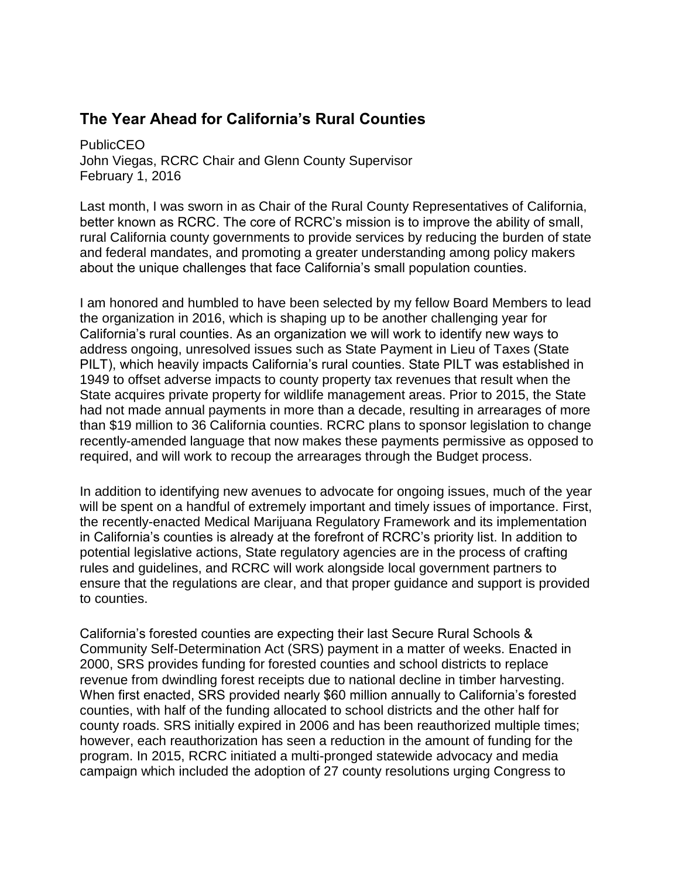## **The Year Ahead for California's Rural Counties**

**PublicCEO** John Viegas, RCRC Chair and Glenn County Supervisor February 1, 2016

Last month, I was sworn in as Chair of the Rural County Representatives of California, better known as RCRC. The core of RCRC's mission is to improve the ability of small, rural California county governments to provide services by reducing the burden of state and federal mandates, and promoting a greater understanding among policy makers about the unique challenges that face California's small population counties.

I am honored and humbled to have been selected by my fellow Board Members to lead the organization in 2016, which is shaping up to be another challenging year for California's rural counties. As an organization we will work to identify new ways to address ongoing, unresolved issues such as State Payment in Lieu of Taxes (State PILT), which heavily impacts California's rural counties. State PILT was established in 1949 to offset adverse impacts to county property tax revenues that result when the State acquires private property for wildlife management areas. Prior to 2015, the State had not made annual payments in more than a decade, resulting in arrearages of more than \$19 million to 36 California counties. RCRC plans to sponsor legislation to change recently-amended language that now makes these payments permissive as opposed to required, and will work to recoup the arrearages through the Budget process.

In addition to identifying new avenues to advocate for ongoing issues, much of the year will be spent on a handful of extremely important and timely issues of importance. First, the recently-enacted Medical Marijuana Regulatory Framework and its implementation in California's counties is already at the forefront of RCRC's priority list. In addition to potential legislative actions, State regulatory agencies are in the process of crafting rules and guidelines, and RCRC will work alongside local government partners to ensure that the regulations are clear, and that proper guidance and support is provided to counties.

California's forested counties are expecting their last Secure Rural Schools & Community Self-Determination Act (SRS) payment in a matter of weeks. Enacted in 2000, SRS provides funding for forested counties and school districts to replace revenue from dwindling forest receipts due to national decline in timber harvesting. When first enacted, SRS provided nearly \$60 million annually to California's forested counties, with half of the funding allocated to school districts and the other half for county roads. SRS initially expired in 2006 and has been reauthorized multiple times; however, each reauthorization has seen a reduction in the amount of funding for the program. In 2015, RCRC initiated a multi-pronged statewide advocacy and media campaign which included the adoption of 27 county resolutions urging Congress to